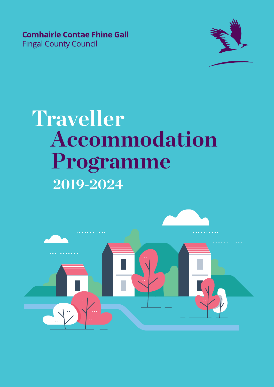**Comhairle Contae Fhine Gall Fingal County Council** 



# **2019-2024 Accommodation Programme Traveller**

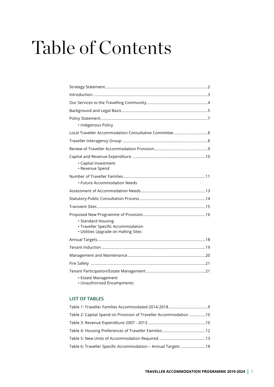# Table of Contents

| · Indigenous Policy                                                                              |
|--------------------------------------------------------------------------------------------------|
|                                                                                                  |
|                                                                                                  |
|                                                                                                  |
| · Capital Investment<br>• Revenue Spend                                                          |
| • Future Accommodation Needs                                                                     |
|                                                                                                  |
|                                                                                                  |
|                                                                                                  |
| • Standard Housing<br>· Traveller Specific Accommodation<br>• Utilities Upgrade on Halting Sites |
|                                                                                                  |
|                                                                                                  |
|                                                                                                  |
|                                                                                                  |
| • Estate Management                                                                              |

• Unauthorised Encampments

#### **LIST OF TABLES**

| Table 2: Capital Spend on Provision of Traveller Accommodation 10 |  |
|-------------------------------------------------------------------|--|
|                                                                   |  |
|                                                                   |  |
|                                                                   |  |
| Table 6: Traveller Specific Accommodation - Annual Targets 18     |  |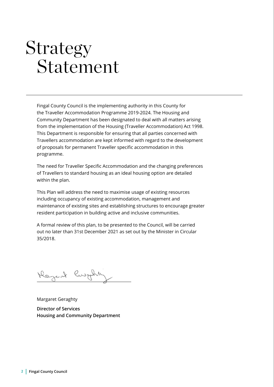### Strategy Statement

Fingal County Council is the implementing authority in this County for the Traveller Accommodation Programme 2019-2024. The Housing and Community Department has been designated to deal with all matters arising from the implementation of the Housing (Traveller Accommodation) Act 1998. This Department is responsible for ensuring that all parties concerned with Travellers accommodation are kept informed with regard to the development of proposals for permanent Traveller specific accommodation in this programme.

The need for Traveller Specific Accommodation and the changing preferences of Travellers to standard housing as an ideal housing option are detailed within the plan.

This Plan will address the need to maximise usage of existing resources including occupancy of existing accommodation, management and maintenance of existing sites and establishing structures to encourage greater resident participation in building active and inclusive communities.

A formal review of this plan, to be presented to the Council, will be carried out no later than 31st December 2021 as set out by the Minister in Circular 35/2018.

Keyent lingting

Margaret Geraghty **Director of Services Housing and Community Department**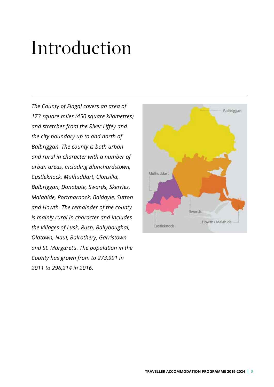# Introduction

*The County of Fingal covers an area of 173 square miles (450 square kilometres) and stretches from the River Liffey and the city boundary up to and north of Balbriggan. The county is both urban and rural in character with a number of urban areas, including Blanchardstown, Castleknock, Mulhuddart, Clonsilla, Balbriggan, Donabate, Swords, Skerries, Malahide, Portmarnock, Baldoyle, Sutton and Howth. The remainder of the county is mainly rural in character and includes the villages of Lusk, Rush, Ballyboughal, Oldtown, Naul, Balrothery, Garristown and St. Margaret's. The population in the County has grown from to 273,991 in 2011 to 296,214 in 2016.*

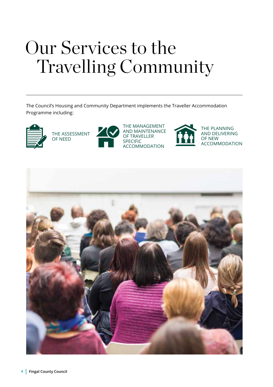# Our Services to the Travelling Community

The Council's Housing and Community Department implements the Traveller Accommodation Programme including:



THE ASSESSMENT OF NEED



THE MANAGEMENT AND MAINTENANCE OF TRAVELLER SPECIFIC ACCOMMODATION



THE PLANNING AND DELIVERING OF NEW ACCOMMODATION

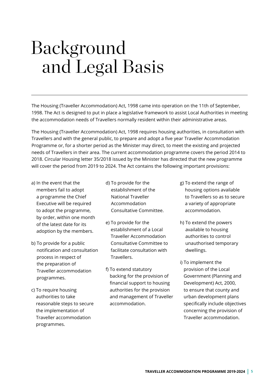# Background and Legal Basis

The Housing (Traveller Accommodation) Act, 1998 came into operation on the 11th of September, 1998. The Act is designed to put in place a legislative framework to assist Local Authorities in meeting the accommodation needs of Travellers normally resident within their administrative areas.

The Housing (Traveller Accommodation) Act, 1998 requires housing authorities, in consultation with Travellers and with the general public, to prepare and adopt a five year Traveller Accommodation Programme or, for a shorter period as the Minister may direct, to meet the existing and projected needs of Travellers in their area. The current accommodation programme covers the period 2014 to 2018. Circular Housing letter 35/2018 issued by the Minister has directed that the new programme will cover the period from 2019 to 2024. The Act contains the following important provisions:

- a) In the event that the members fail to adopt a programme the Chief Executive will be required to adopt the programme, by order, within one month of the latest date for its adoption by the members.
- b) To provide for a public notification and consultation process in respect of the preparation of Traveller accommodation programmes.
- c) To require housing authorities to take reasonable steps to secure the implementation of Traveller accommodation programmes.
- d) To provide for the establishment of the National Traveller Accommodation Consultative Committee.
- e) To provide for the establishment of a Local Traveller Accommodation Consultative Committee to facilitate consultation with **Travellers**
- f) To extend statutory backing for the provision of financial support to housing authorities for the provision and management of Traveller accommodation.
- g) To extend the range of housing options available to Travellers so as to secure a variety of appropriate accommodation.
- h) To extend the powers available to housing authorities to control unauthorised temporary dwellings.
- i) To implement the provision of the Local Government (Planning and Development) Act, 2000, to ensure that county and urban development plans specifically include objectives concerning the provision of Traveller accommodation.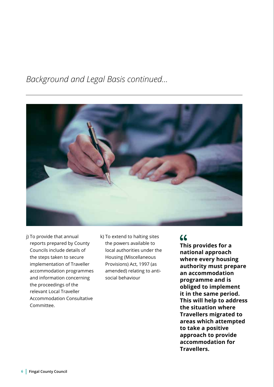### *Background and Legal Basis continued...*



- j) To provide that annual reports prepared by County Councils include details of the steps taken to secure implementation of Traveller accommodation programmes and information concerning the proceedings of the relevant Local Traveller Accommodation Consultative Committee.
- k) To extend to halting sites the powers available to local authorities under the Housing (Miscellaneous Provisions) Act, 1997 (as amended) relating to antisocial behaviour

### 66

**This provides for a national approach where every housing authority must prepare an accommodation programme and is obliged to implement it in the same period. This will help to address the situation where Travellers migrated to areas which attempted to take a positive approach to provide accommodation for Travellers.**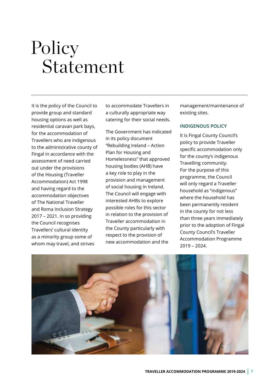# Policy Statement

It is the policy of the Council to provide group and standard housing options as well as residential caravan park bays, for the accommodation of Travellers who are indigenous to the administrative county of Fingal in accordance with the assessment of need carried out under the provisions of the Housing (Traveller Accommodation) Act 1998 and having regard to the accommodation objectives of The National Traveller and Roma Inclusion Strategy 2017 – 2021. In so providing the Council recognises Travellers' cultural identity as a minority group some of whom may travel, and strives

to accommodate Travellers in a culturally appropriate way catering for their social needs.

The Government has indicated in its policy document "Rebuilding Ireland – Action Plan for Housing and Homelessness" that approved housing bodies (AHB) have a key role to play in the provision and management of social housing in Ireland. The Council will engage with interested AHBs to explore possible roles for this sector in relation to the provision of Traveller accommodation in the County particularly with respect to the provision of new accommodation and the

management/maintenance of existing sites.

#### **INDIGENOUS POLICY**

It is Fingal County Council's policy to provide Traveller specific accommodation only for the county's indigenous Travelling community. For the purpose of this programme, the Council will only regard a Traveller household as "indigenous" where the household has been permanently resident in the county for not less than three years immediately prior to the adoption of Fingal County Council's Traveller Accommodation Programme 2019 – 2024.

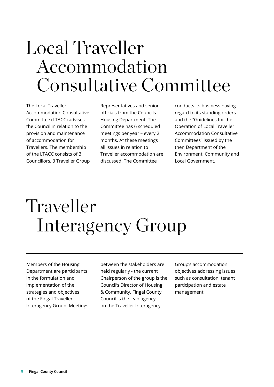## Local Traveller Accommodation Consultative Committee

The Local Traveller Accommodation Consultative Committee (LTACC) advises the Council in relation to the provision and maintenance of accommodation for Travellers. The membership of the LTACC consists of 3 Councillors, 3 Traveller Group

Representatives and senior officials from the Councils Housing Department. The Committee has 6 scheduled meetings per year – every 2 months. At these meetings all issues in relation to Traveller accommodation are discussed. The Committee

conducts its business having regard to its standing orders and the "Guidelines for the Operation of Local Traveller Accommodation Consultative Committees" issued by the then Department of the Environment, Community and Local Government.

# Traveller Interagency Group

Members of the Housing Department are participants in the formulation and implementation of the strategies and objectives of the Fingal Traveller Interagency Group. Meetings between the stakeholders are held regularly - the current Chairperson of the group is the Council's Director of Housing & Community. Fingal County Council is the lead agency on the Traveller Interagency

Group's accommodation objectives addressing issues such as consultation, tenant participation and estate management.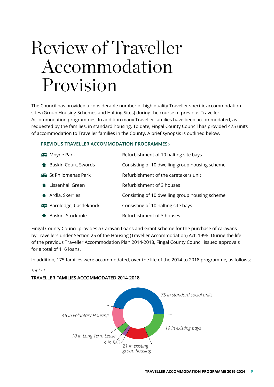## Review of Traveller Accommodation Provision

The Council has provided a considerable number of high quality Traveller specific accommodation sites (Group Housing Schemes and Halting Sites) during the course of previous Traveller Accommodation programmes. In addition many Traveller families have been accommodated, as requested by the families, in standard housing. To date, Fingal County Council has provided 475 units of accommodation to Traveller families in the County. A brief synopsis is outlined below.

#### **PREVIOUS TRAVELLER ACCOMMODATION PROGRAMMES:-**

| <b>D</b> Moyne Park           | Refurbishment of 10 halting site bays          |
|-------------------------------|------------------------------------------------|
| <b>A</b> Baskin Court, Swords | Consisting of 10 dwelling group housing scheme |
| St Philomenas Park            | Refurbishment of the caretakers unit           |
| <b>A</b> Lissenhall Green     | Refurbishment of 3 houses                      |
| <b>A</b> Ardla, Skerries      | Consisting of 10 dwelling group housing scheme |
| <b>Barnlodge, Castleknock</b> | Consisting of 10 halting site bays             |
| Baskin, Stockhole             | Refurbishment of 3 houses                      |

Fingal County Council provides a Caravan Loans and Grant scheme for the purchase of caravans by Travellers under Section 25 of the Housing (Traveller Accommodation) Act, 1998. During the life of the previous Traveller Accommodation Plan 2014-2018, Fingal County Council issued approvals for a total of 116 loans.

In addition, 175 families were accommodated, over the life of the 2014 to 2018 programme, as follows:-



**TRAVELLER FAMILIES ACCOMMODATED 2014-2018**

*Table 1:*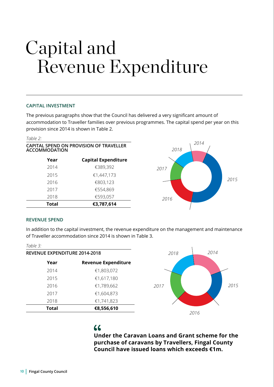# Revenue Expenditure Capital and

#### **CAPITAL INVESTMENT**

The previous paragraphs show that the Council has delivered a very significant amount of accommodation to Traveller families over previous programmes. The capital spend per year on this provision since 2014 is shown in Table 2.

| Table 2:             |                                         |              |
|----------------------|-----------------------------------------|--------------|
| <b>ACCOMMODATION</b> | CAPITAL SPEND ON PROVISION OF TRAVELLER | 2014<br>2018 |
| Year                 | <b>Capital Expenditure</b>              |              |
| 2014                 | €389,392                                | 2017         |
| 2015                 | €1,447,173                              |              |
| 2016                 | €803,123                                |              |
| 2017                 | €554,869                                |              |
| 2018                 | €593,057                                | 2016         |
| Total                | €3,787,614                              |              |
|                      |                                         |              |

#### **REVENUE SPEND**

In addition to the capital investment, the revenue expenditure on the management and maintenance of Traveller accommodation since 2014 is shown in Table 3.

| Table $3^{\circ}$             |                            |
|-------------------------------|----------------------------|
| REVENUE EXPENDITURE 2014-2018 |                            |
| Year                          | <b>Revenue Expenditure</b> |
| 2014                          | €1,803,072                 |
| 2015                          | €1,617,180                 |
| 2016                          | €1,789,662                 |
| 2017                          | €1,604,873                 |
| 2018                          | €1,741,823                 |
| Total                         | €8,556,610                 |



*2015*

### $\overline{11}$

**Under the Caravan Loans and Grant scheme for the purchase of caravans by Travellers, Fingal County Council have issued loans which exceeds €1m.**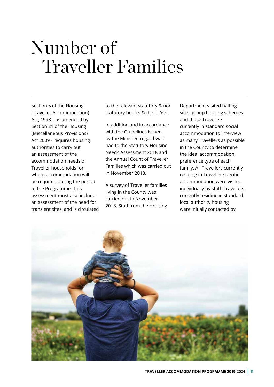## Number of Traveller Families

Section 6 of the Housing (Traveller Accommodation) Act, 1998 – as amended by Section 21 of the Housing (Miscellaneous Provisions) Act 2009 - requires housing authorities to carry out an assessment of the accommodation needs of Traveller households for whom accommodation will be required during the period of the Programme. This assessment must also include an assessment of the need for transient sites, and is circulated

to the relevant statutory & non statutory bodies & the LTACC.

In addition and in accordance with the Guidelines issued by the Minister, regard was had to the Statutory Housing Needs Assessment 2018 and the Annual Count of Traveller Families which was carried out in November 2018.

A survey of Traveller families living in the County was carried out in November 2018. Staff from the Housing Department visited halting sites, group housing schemes and those Travellers currently in standard social accommodation to interview as many Travellers as possible in the County to determine the ideal accommodation preference type of each family. All Travellers currently residing in Traveller specific accommodation were visited individually by staff. Travellers currently residing in standard local authority housing were initially contacted by

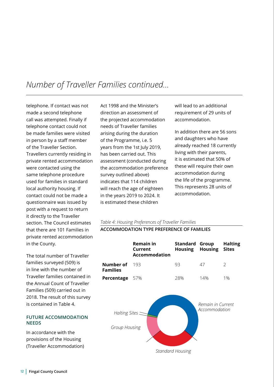### *Number of Traveller Families continued...*

telephone. If contact was not made a second telephone call was attempted. Finally if telephone contact could not be made families were visited in person by a staff member of the Traveller Section. Travellers currently residing in private rented accommodation were contacted using the same telephone procedure used for families in standard local authority housing. If contact could not be made a questionnaire was issued by post with a request to return it directly to the Traveller section. The Council estimates that there are 101 Families in private rented accommodation in the County.

The total number of Traveller families surveyed (509) is in line with the number of Traveller families contained in the Annual Count of Traveller Families (509) carried out in 2018. The result of this survey is contained in Table 4.

#### **FUTURE ACCOMMODATION NEEDS**

In accordance with the provisions of the Housing (Traveller Accommodation)

Act 1998 and the Minister's direction an assessment of the projected accommodation needs of Traveller families arising during the duration of the Programme, i.e. 5 years from the 1st July 2019, has been carried out. This assessment (conducted during the accommodation preference survey outlined above) indicates that 114 children will reach the age of eighteen in the years 2019 to 2024. It is estimated these children

will lead to an additional requirement of 29 units of accommodation.

In addition there are 56 sons and daughters who have already reached 18 currently living with their parents, it is estimated that 50% of these will require their own accommodation during the life of the programme. This represents 28 units of accommodation.

#### *Table 4: Housing Preferences of Traveller Families*

**ACCOMMODATION TYPE PREFERENCE OF FAMILIES**

|                                  | <b>Remain in</b><br>Current<br><b>Accommodation</b> | <b>Standard Group</b><br>Housing | <b>Housing</b>                     | <b>Halting</b><br><b>Sites</b> |
|----------------------------------|-----------------------------------------------------|----------------------------------|------------------------------------|--------------------------------|
| Number of<br><b>Families</b>     | 193                                                 | 93                               | 47                                 | 2                              |
| Percentage                       | 57%                                                 | 28%                              | 14%                                | $1\%$                          |
| Halting Sites =<br>Group Housing |                                                     | <b>Standard Housing</b>          | Remain in Current<br>Accommodation |                                |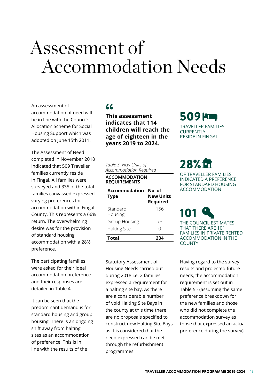### Assessment of Accommodation Needs

An assessment of accommodation of need will be in line with the Council's Allocation Scheme for Social Housing Support which was adopted on June 15th 2011.

The Assessment of Need completed in November 2018 indicated that 509 Traveller families currently reside in Fingal. All families were surveyed and 335 of the total families canvassed expressed varying preferences for accommodation within Fingal County. This represents a 66% return. The overwhelming desire was for the provision of standard housing accommodation with a 28% preference.

The participating families were asked for their ideal accommodation preference and their responses are detailed in Table 4.

It can be seen that the predominant demand is for standard housing and group housing. There is an ongoing shift away from halting sites as an accommodation of preference. This is in line with the results of the

### **"**

**This assessment indicates that 114 children will reach the age of eighteen in the years 2019 to 2024.**

*Table 5: New Units of Accommodation Required*

#### **ACCOMMODATION REQUIREMENTS**

| Accommodation<br><b>Type</b> | No. of<br><b>New Units</b><br><b>Required</b> |
|------------------------------|-----------------------------------------------|
| Standard<br>Housing          | 156                                           |
| <b>Group Housing</b>         | 78                                            |
| <b>Halting Site</b>          | Λ                                             |
| <b>Total</b>                 | 234                                           |

Statutory Assessment of Housing Needs carried out during 2018 i.e. 2 families expressed a requirement for a halting site bay. As there are a considerable number of void Halting Site Bays in the county at this time there are no proposals specified to construct new Halting Site Bays as it is considered that the need expressed can be met through the refurbishment programmes.

### 509 **PLU**

TRAVELLER FAMILIES **CURRENTLY** RESIDE IN FINGAL

### 28%

OF TRAVELLER FAMILIES INDICATED A PREFERENCE FOR STANDARD HOUSING ACCOMMODATION

### 101 THE COUNCIL ESTIMATES THAT THERE ARE 101 FAMILIES IN PRIVATE RENTED

ACCOMMODATION IN THE **COUNTY** 

Having regard to the survey results and projected future needs, the accommodation requirement is set out in Table 5 - (assuming the same preference breakdown for the new families and those who did not complete the accommodation survey as those that expressed an actual preference during the survey).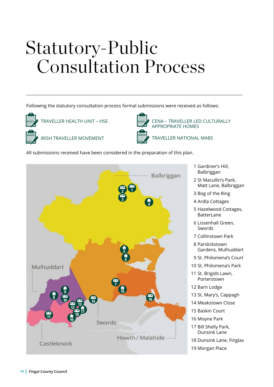# Statutory-Public Consultation Process

Following the statutory consultation process formal submissions were received as follows:



TRAVELLER HEALTH UNIT – HSE



IRISH TRAVELLER MOVEMENT



 CENA – TRAVELLER LED CULTURALLY APPROPRIATE HOMES

TRAVELLER NATIONAL MABS

All submissions received have been considered in the preparation of this plan.



- 1 Gardiner's Hill, Balbriggan
- 2 St Macullin's Park, Matt Lane, Balbriggan
- 3 Bog of the Ring
- 4 Ardla Cottages
- 5 Hazelwood Cottages, BatterLane
- 6 Lissenhall Green, Swords
- 7 Collinstown Park
- 8 Parslickstown Gardens, Mulhuddart
- 9 St. Philomena's Court
- 10 St. Philomena's Park
- 11 St. Brigids Lawn, Porterstown
- 12 Barn Lodge
- 13 St. Mary's, Cappagh
- 14 Meakstown Close
- 15 Baskin Court
- 16 Moyne Park
- 17 Bill Shelly Park, Dunsink Lane
- 18 Dunsink Lane, Finglas
- 19 Morgan Place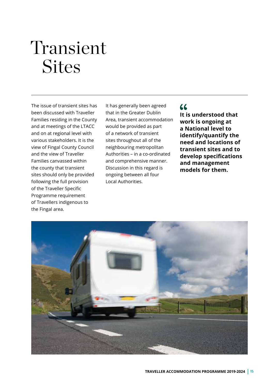# Transient **Sites**

The issue of transient sites has been discussed with Traveller Families residing in the County and at meetings of the LTACC and on at regional level with various stakeholders. It is the view of Fingal County Council and the view of Traveller Families canvassed within the county that transient sites should only be provided following the full provision of the Traveller Specific Programme requirement of Travellers indigenous to the Fingal area.

It has generally been agreed that in the Greater Dublin Area, transient accommodation would be provided as part of a network of transient sites throughout all of the neighbouring metropolitan Authorities – in a co-ordinated and comprehensive manner. Discussion in this regard is ongoing between all four Local Authorities.

### $66$

**It is understood that work is ongoing at a National level to identify/quantify the need and locations of transient sites and to develop specifications and management models for them.** 

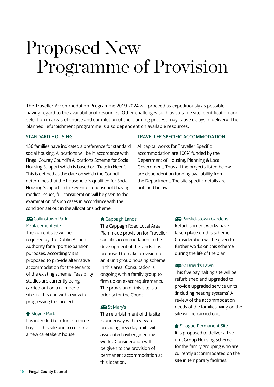## Proposed New Programme of Provision

The Traveller Accommodation Programme 2019-2024 will proceed as expeditiously as possible having regard to the availability of resources. Other challenges such as suitable site identification and selection in areas of choice and completion of the planning process may cause delays in delivery. The planned refurbishment programme is also dependent on available resources.

#### **STANDARD HOUSING**

156 families have indicated a preference for standard social housing. Allocations will be in accordance with Fingal County Council's Allocations Scheme for Social Housing Support which is based on "Date in Need". This is defined as the date on which the Council determines that the household is qualified for Social Housing Support. In the event of a household having medical issues, full consideration will be given to the examination of such cases in accordance with the condition set out in the Allocations Scheme.

#### Collinstown Park Replacement Site

The current site will be required by the Dublin Airport Authority for airport expansion purposes. Accordingly it is proposed to provide alternative accommodation for the tenants of the existing scheme. Feasibility studies are currently being carried out on a number of sites to this end with a view to progressing this project.

#### **Moyne Park**

It is intended to refurbish three bays in this site and to construct a new caretakers' house.

#### **f** Cappagh Lands

The Cappagh Road Local Area Plan made provision for Traveller specific accommodation in the development of the lands. It is proposed to make provision for an 8 unit group housing scheme in this area. Consultation is ongoing with a family group to firm up on exact requirements. The provision of this site is a priority for the Council,

#### **St Mary's**

The refurbishment of this site is underway with a view to providing new day units with associated civil engineering works. Consideration will be given to the provision of permanent accommodation at this location.

#### **TRAVELLER SPECIFIC ACCOMMODATION**

All capital works for Traveller Specific accommodation are 100% funded by the Department of Housing, Planning & Local Government. Thus all the projects listed below are dependent on funding availability from the Department. The site specific details are outlined below:

#### **Parslickstown Gardens**

Refurbishment works have taken place on this scheme. Consideration will be given to further works on this scheme during the life of the plan.

#### St Brigid's Lawn

This five bay halting site will be refurbished and upgraded to provide upgraded service units (including heating systems) A review of the accommodation needs of the families living on the site will be carried out.

**f** Sillogue-Permanent Site It is proposed to deliver a five unit Group Housing Scheme for the family grouping who are currently accommodated on the site in temporary facilities.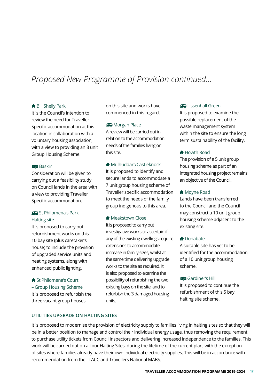### *Proposed New Programme of Provision continued...*

#### Bill Shelly Park

It is the Council's intention to review the need for Traveller Specific accommodation at this location in collaboration with a voluntary housing association, with a view to providing an 8 unit Group Housing Scheme.

#### Baskin

Consideration will be given to carrying out a feasibility study on Council lands in the area with a view to providing Traveller Specific accommodation.

#### St Philomena's Park Halting site

It is proposed to carry out refurbishment works on this 10 bay site (plus caretaker's house) to include the provision of upgraded service units and heating systems, along with enhanced public lighting.

#### **St Philomena's Court** – Group Housing Scheme It is proposed to refurbish the three vacant group houses

on this site and works have commenced in this regard.

#### **Morgan Place**

A review will be carried out in relation to the accommodation needs of the families living on this site.

#### **Mulhuddart/Castleknock** It is proposed to identify and secure lands to accommodate a 7 unit group housing scheme of Traveller specific accommodation to meet the needs of the family group indigenous to this area.

#### **Meakstown Close**

It is proposed to carry out investigative works to ascertain if any of the existing dwellings require extensions to accommodate increase in family sizes, whilst at the same time delivering upgrade works to the site as required. It is also proposed to examine the possibility of refurbishing the two existing bays on the site, and to refurbish the 3 damaged housing units.

#### **Lissenhall Green**

It is proposed to examine the possible replacement of the waste management system within the site to ensure the long term sustainability of the facility.

#### **A** Howth Road

The provision of a 5 unit group housing scheme as part of an integrated housing project remains an objective of the Council.

#### **Movne Road**

Lands have been transferred to the Council and the Council may construct a 10 unit group housing scheme adjacent to the existing site.

#### **n** Donabate

A suitable site has yet to be identified for the accommodation of a 10 unit group housing scheme.

#### Gardiner's Hill

It is proposed to continue the refurbishment of this 5 bay halting site scheme.

#### **UTILITIES UPGRADE ON HALTING SITES**

It is proposed to modernise the provision of electricity supply to families living in halting sites so that they will be in a better position to manage and control their individual energy usage, thus removing the requirement to purchase utility tickets from Council Inspectors and delivering increased independence to the families. This work will be carried out on all our Halting Sites, during the lifetime of the current plan, with the exception of sites where families already have their own individual electricity supplies. This will be in accordance with recommendation from the LTACC and Travellers National MABS.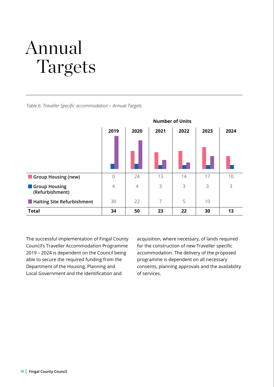# Annual Targets

*Table 6: Traveller Specific accommodation – Annual Targets*



The successful implementation of Fingal County Council's Traveller Accommodation Programme 2019 – 2024 is dependent on the Council being able to secure the required funding from the Department of the Housing, Planning and Local Government and the identification and

acquisition, where necessary, of lands required for the construction of new Traveller specific accommodation. The delivery of the proposed programme is dependent on all necessary consents, planning approvals and the availability of services.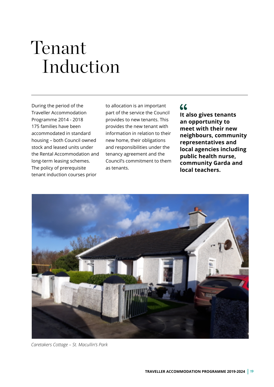# Tenant Induction

During the period of the Traveller Accommodation Programme 2014 - 2018 175 families have been accommodated in standard housing – both Council owned stock and leased units under the Rental Accommodation and long-term leasing schemes. The policy of prerequisite tenant induction courses prior

to allocation is an important part of the service the Council provides to new tenants. This provides the new tenant with information in relation to their new home, their obligations and responsibilities under the tenancy agreement and the Council's commitment to them as tenants.

### $66$

**It also gives tenants an opportunity to meet with their new neighbours, community representatives and local agencies including public health nurse, community Garda and local teachers.**



*Caretakers Cottage – St. Macullin's Park*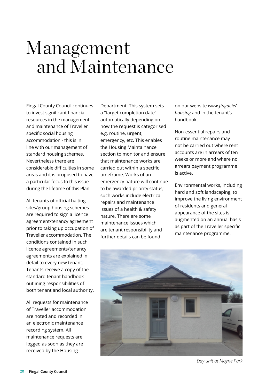## Management and Maintenance

Fingal County Council continues to invest significant financial resources in the management and maintenance of Traveller specific social housing accommodation - this is in line with our management of standard housing schemes. Nevertheless there are considerable difficulties in some areas and it is proposed to have a particular focus to this issue during the lifetime of this Plan.

All tenants of official halting sites/group housing schemes are required to sign a licence agreement/tenancy agreement prior to taking up occupation of Traveller accommodation. The conditions contained in such licence agreements/tenancy agreements are explained in detail to every new tenant. Tenants receive a copy of the standard tenant handbook outlining responsibilities of both tenant and local authority.

All requests for maintenance of Traveller accommodation are noted and recorded in an electronic maintenance recording system. All maintenance requests are logged as soon as they are received by the Housing

Department. This system sets a "target completion date" automatically depending on how the request is categorised e.g. routine, urgent, emergency, etc. This enables the Housing Maintainance section to monitor and ensure that maintenance works are carried out within a specific timeframe. Works of an emergency nature will continue to be awarded priority status; such works include electrical repairs and maintenance issues of a health & safety nature. There are some maintenance issues which are tenant responsibility and further details can be found

on our website *www.fingal.ie/ housing* and in the tenant's handbook.

Non-essential repairs and routine maintenance may not be carried out where rent accounts are in arrears of ten weeks or more and where no arrears payment programme is active.

Environmental works, including hard and soft landscaping, to improve the living environment of residents and general appearance of the sites is augmented on an annual basis as part of the Traveller specific maintenance programme.



*Day unit at Moyne Park*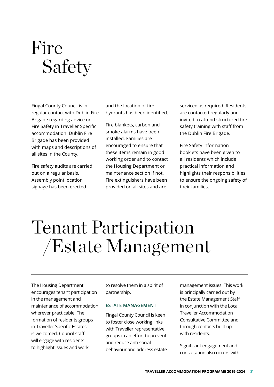# Fire Safety

Fingal County Council is in regular contact with Dublin Fire Brigade regarding advice on Fire Safety in Traveller Specific accommodation. Dublin Fire Brigade has been provided with maps and descriptions of all sites in the County.

Fire safety audits are carried out on a regular basis. Assembly point location signage has been erected

and the location of fire hydrants has been identified.

Fire blankets, carbon and smoke alarms have been installed. Families are encouraged to ensure that these items remain in good working order and to contact the Housing Department or maintenance section if not. Fire extinguishers have been provided on all sites and are

serviced as required. Residents are contacted regularly and invited to attend structured fire safety training with staff from the Dublin Fire Brigade.

Fire Safety information booklets have been given to all residents which include practical information and highlights their responsibilities to ensure the ongoing safety of their families.

# Tenant Participation /Estate Management

The Housing Department encourages tenant participation in the management and maintenance of accommodation wherever practicable. The formation of residents groups in Traveller Specific Estates is welcomed, Council staff will engage with residents to highlight issues and work

to resolve them in a spirit of partnership.

#### **ESTATE MANAGEMENT**

Fingal County Council is keen to foster close working links with Traveller representative groups in an effort to prevent and reduce anti-social behaviour and address estate management issues. This work is principally carried out by the Estate Management Staff in conjunction with the Local Traveller Accommodation Consultative Committee and through contacts built up with residents.

Significant engagement and consultation also occurs with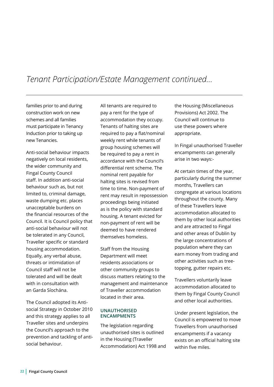### *Tenant Participation/Estate Management continued...*

families prior to and during construction work on new schemes and all families must participate in Tenancy Induction prior to taking up new Tenancies.

Anti-social behaviour impacts negatively on local residents, the wider community and Fingal County Council staff. In addition anti-social behaviour such as, but not limited to, criminal damage, waste dumping etc. places unacceptable burdens on the financial resources of the Council. It is Council policy that anti-social behaviour will not be tolerated in any Council, Traveller specific or standard housing accommodation. Equally, any verbal abuse, threats or intimidation of Council staff will not be tolerated and will be dealt with in consultation with an Garda Síochána.

The Council adopted its Antisocial Strategy in October 2010 and this strategy applies to all Traveller sites and underpins the Council's approach to the prevention and tackling of antisocial behaviour.

All tenants are required to pay a rent for the type of accommodation they occupy. Tenants of halting sites are required to pay a flat/nominal weekly rent while tenants of group housing schemes will be required to pay a rent in accordance with the Council's differential rent scheme. The nominal rent payable for halting sites is revised from time to time. Non-payment of rent may result in repossession proceedings being initiated as is the policy with standard housing. A tenant evicted for non-payment of rent will be deemed to have rendered themselves homeless.

Staff from the Housing Department will meet residents associations or other community groups to discuss matters relating to the management and maintenance of Traveller accommodation located in their area.

#### **UNAUTHORISED ENCAMPMENTS**

The legislation regarding unauthorised sites is outlined in the Housing (Traveller Accommodation) Act 1998 and the Housing (Miscellaneous Provisions) Act 2002. The Council will continue to use these powers where appropriate.

In Fingal unauthorised Traveller encampments can generally arise in two ways:-

At certain times of the year, particularly during the summer months, Travellers can congregate at various locations throughout the county. Many of these Travellers leave accommodation allocated to them by other local authorities and are attracted to Fingal and other areas of Dublin by the large concentrations of population where they can earn money from trading and other activities such as treetopping, gutter repairs etc.

Travellers voluntarily leave accommodation allocated to them by Fingal County Council and other local authorities.

Under present legislation, the Council is empowered to move Travellers from unauthorised encampments if a vacancy exists on an official halting site within five miles.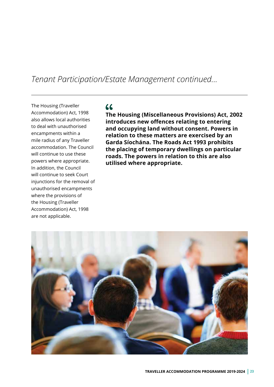### *Tenant Participation/Estate Management continued...*

The Housing (Traveller Accommodation) Act, 1998 also allows local authorities to deal with unauthorised encampments within a mile radius of any Traveller accommodation. The Council will continue to use these powers where appropriate. In addition, the Council will continue to seek Court injunctions for the removal of unauthorised encampments where the provisions of the Housing (Traveller Accommodation) Act, 1998 are not applicable.

### $66$

**The Housing (Miscellaneous Provisions) Act, 2002 introduces new offences relating to entering and occupying land without consent. Powers in relation to these matters are exercised by an Garda Síochána. The Roads Act 1993 prohibits the placing of temporary dwellings on particular roads. The powers in relation to this are also utilised where appropriate.**

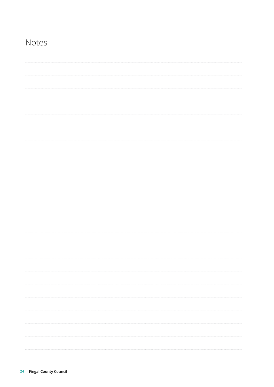### Notes

| 1.1.1.1  |
|----------|
|          |
|          |
|          |
|          |
|          |
|          |
|          |
|          |
|          |
|          |
| 1.1.1.1  |
|          |
|          |
| $\cdots$ |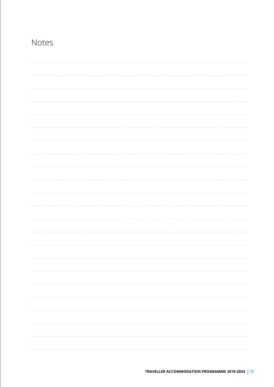### Notes

| $\cdots$ |
|----------|
|          |
|          |
|          |
|          |
|          |
|          |
|          |
|          |
|          |
|          |
|          |